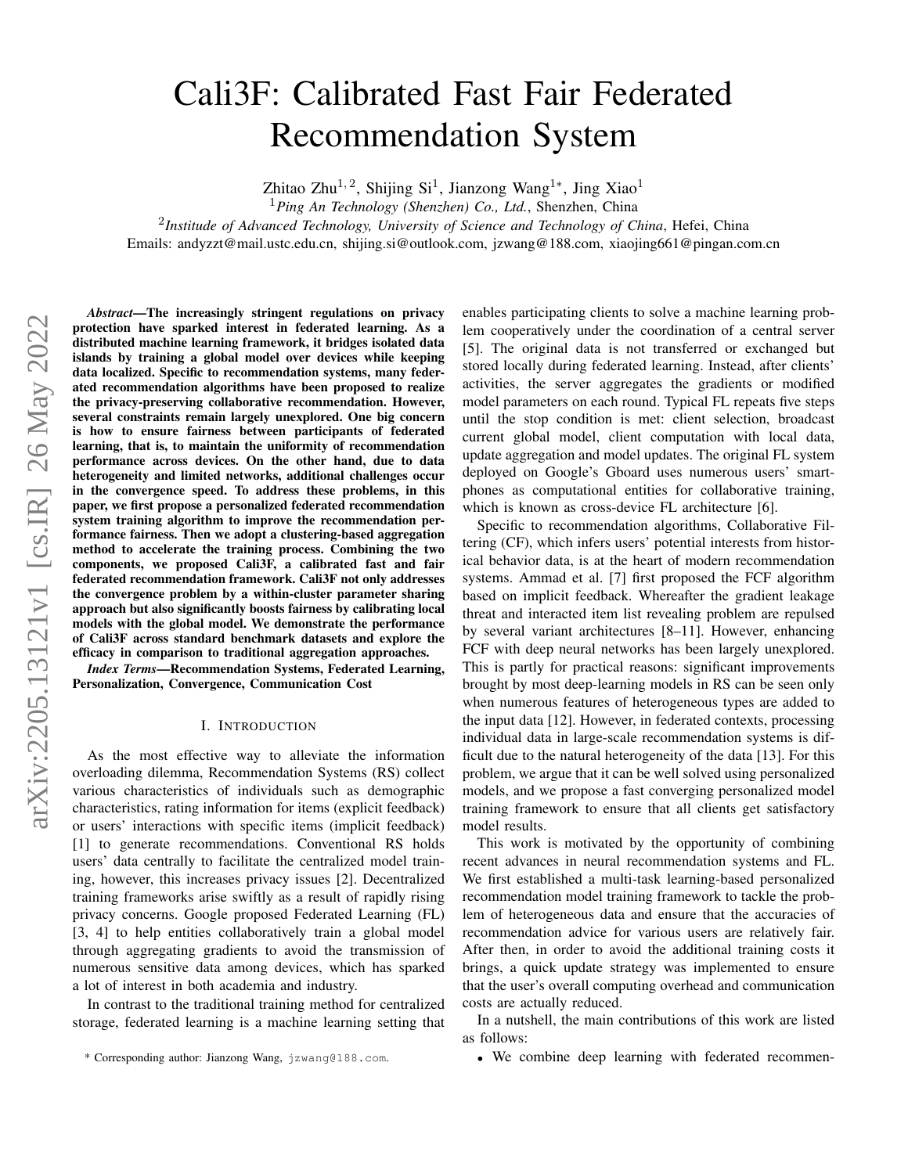# Cali3F: Calibrated Fast Fair Federated Recommendation System

Zhitao Zhu<sup>1, 2</sup>, Shijing Si<sup>1</sup>, Jianzong Wang<sup>1\*</sup>, Jing Xiao<sup>1</sup>

<sup>1</sup>*Ping An Technology (Shenzhen) Co., Ltd.*, Shenzhen, China

2 *Institude of Advanced Technology, University of Science and Technology of China*, Hefei, China

Emails: andyzzt@mail.ustc.edu.cn, shijing.si@outlook.com, jzwang@188.com, xiaojing661@pingan.com.cn

*Abstract*—The increasingly stringent regulations on privacy protection have sparked interest in federated learning. As a distributed machine learning framework, it bridges isolated data islands by training a global model over devices while keeping data localized. Specific to recommendation systems, many federated recommendation algorithms have been proposed to realize the privacy-preserving collaborative recommendation. However, several constraints remain largely unexplored. One big concern is how to ensure fairness between participants of federated learning, that is, to maintain the uniformity of recommendation performance across devices. On the other hand, due to data heterogeneity and limited networks, additional challenges occur in the convergence speed. To address these problems, in this paper, we first propose a personalized federated recommendation system training algorithm to improve the recommendation performance fairness. Then we adopt a clustering-based aggregation method to accelerate the training process. Combining the two components, we proposed Cali3F, a calibrated fast and fair federated recommendation framework. Cali3F not only addresses the convergence problem by a within-cluster parameter sharing approach but also significantly boosts fairness by calibrating local models with the global model. We demonstrate the performance of Cali3F across standard benchmark datasets and explore the efficacy in comparison to traditional aggregation approaches.

*Index Terms*—Recommendation Systems, Federated Learning, Personalization, Convergence, Communication Cost

### I. INTRODUCTION

As the most effective way to alleviate the information overloading dilemma, Recommendation Systems (RS) collect various characteristics of individuals such as demographic characteristics, rating information for items (explicit feedback) or users' interactions with specific items (implicit feedback) [\[1\]](#page-7-0) to generate recommendations. Conventional RS holds users' data centrally to facilitate the centralized model training, however, this increases privacy issues [\[2\]](#page-7-1). Decentralized training frameworks arise swiftly as a result of rapidly rising privacy concerns. Google proposed Federated Learning (FL) [\[3,](#page-7-2) [4\]](#page-7-3) to help entities collaboratively train a global model through aggregating gradients to avoid the transmission of numerous sensitive data among devices, which has sparked a lot of interest in both academia and industry.

In contrast to the traditional training method for centralized storage, federated learning is a machine learning setting that

enables participating clients to solve a machine learning problem cooperatively under the coordination of a central server [\[5\]](#page-7-4). The original data is not transferred or exchanged but stored locally during federated learning. Instead, after clients' activities, the server aggregates the gradients or modified model parameters on each round. Typical FL repeats five steps until the stop condition is met: client selection, broadcast current global model, client computation with local data, update aggregation and model updates. The original FL system deployed on Google's Gboard uses numerous users' smartphones as computational entities for collaborative training, which is known as cross-device FL architecture [\[6\]](#page-7-5).

Specific to recommendation algorithms, Collaborative Filtering (CF), which infers users' potential interests from historical behavior data, is at the heart of modern recommendation systems. Ammad et al. [\[7\]](#page-7-6) first proposed the FCF algorithm based on implicit feedback. Whereafter the gradient leakage threat and interacted item list revealing problem are repulsed by several variant architectures [\[8](#page-7-7)[–11\]](#page-7-8). However, enhancing FCF with deep neural networks has been largely unexplored. This is partly for practical reasons: significant improvements brought by most deep-learning models in RS can be seen only when numerous features of heterogeneous types are added to the input data [\[12\]](#page-7-9). However, in federated contexts, processing individual data in large-scale recommendation systems is difficult due to the natural heterogeneity of the data [\[13\]](#page-7-10). For this problem, we argue that it can be well solved using personalized models, and we propose a fast converging personalized model training framework to ensure that all clients get satisfactory model results.

This work is motivated by the opportunity of combining recent advances in neural recommendation systems and FL. We first established a multi-task learning-based personalized recommendation model training framework to tackle the problem of heterogeneous data and ensure that the accuracies of recommendation advice for various users are relatively fair. After then, in order to avoid the additional training costs it brings, a quick update strategy was implemented to ensure that the user's overall computing overhead and communication costs are actually reduced.

In a nutshell, the main contributions of this work are listed as follows:

• We combine deep learning with federated recommen-

<sup>\*</sup> Corresponding author: Jianzong Wang, jzwang@188.com.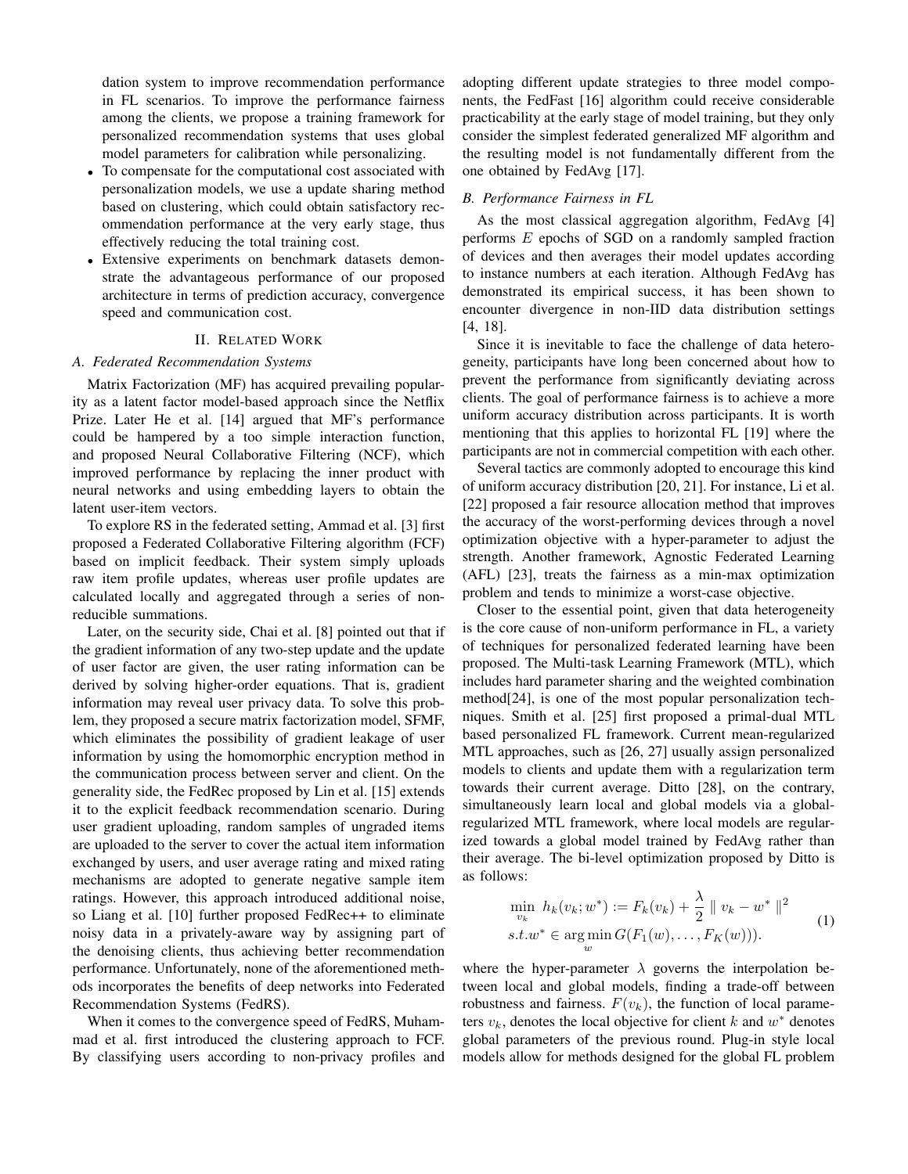dation system to improve recommendation performance in FL scenarios. To improve the performance fairness among the clients, we propose a training framework for personalized recommendation systems that uses global model parameters for calibration while personalizing.

- To compensate for the computational cost associated with personalization models, we use a update sharing method based on clustering, which could obtain satisfactory recommendation performance at the very early stage, thus effectively reducing the total training cost.
- Extensive experiments on benchmark datasets demonstrate the advantageous performance of our proposed architecture in terms of prediction accuracy, convergence speed and communication cost.

# II. RELATED WORK

#### *A. Federated Recommendation Systems*

Matrix Factorization (MF) has acquired prevailing popularity as a latent factor model-based approach since the Netflix Prize. Later He et al. [\[14\]](#page-7-11) argued that MF's performance could be hampered by a too simple interaction function, and proposed Neural Collaborative Filtering (NCF), which improved performance by replacing the inner product with neural networks and using embedding layers to obtain the latent user-item vectors.

To explore RS in the federated setting, Ammad et al. [3] first proposed a Federated Collaborative Filtering algorithm (FCF) based on implicit feedback. Their system simply uploads raw item profile updates, whereas user profile updates are calculated locally and aggregated through a series of nonreducible summations.

Later, on the security side, Chai et al. [\[8\]](#page-7-7) pointed out that if the gradient information of any two-step update and the update of user factor are given, the user rating information can be derived by solving higher-order equations. That is, gradient information may reveal user privacy data. To solve this problem, they proposed a secure matrix factorization model, SFMF, which eliminates the possibility of gradient leakage of user information by using the homomorphic encryption method in the communication process between server and client. On the generality side, the FedRec proposed by Lin et al. [\[15\]](#page-7-12) extends it to the explicit feedback recommendation scenario. During user gradient uploading, random samples of ungraded items are uploaded to the server to cover the actual item information exchanged by users, and user average rating and mixed rating mechanisms are adopted to generate negative sample item ratings. However, this approach introduced additional noise, so Liang et al. [\[10\]](#page-7-13) further proposed FedRec++ to eliminate noisy data in a privately-aware way by assigning part of the denoising clients, thus achieving better recommendation performance. Unfortunately, none of the aforementioned methods incorporates the benefits of deep networks into Federated Recommendation Systems (FedRS).

When it comes to the convergence speed of FedRS, Muhammad et al. first introduced the clustering approach to FCF. By classifying users according to non-privacy profiles and adopting different update strategies to three model components, the FedFast [\[16\]](#page-7-14) algorithm could receive considerable practicability at the early stage of model training, but they only consider the simplest federated generalized MF algorithm and the resulting model is not fundamentally different from the one obtained by FedAvg [\[17\]](#page-7-15).

#### *B. Performance Fairness in FL*

As the most classical aggregation algorithm, FedAvg [\[4\]](#page-7-3) performs E epochs of SGD on a randomly sampled fraction of devices and then averages their model updates according to instance numbers at each iteration. Although FedAvg has demonstrated its empirical success, it has been shown to encounter divergence in non-IID data distribution settings [\[4,](#page-7-3) [18\]](#page-7-16).

Since it is inevitable to face the challenge of data heterogeneity, participants have long been concerned about how to prevent the performance from significantly deviating across clients. The goal of performance fairness is to achieve a more uniform accuracy distribution across participants. It is worth mentioning that this applies to horizontal FL [\[19\]](#page-7-17) where the participants are not in commercial competition with each other.

Several tactics are commonly adopted to encourage this kind of uniform accuracy distribution [\[20,](#page-7-18) [21\]](#page-7-19). For instance, Li et al. [\[22\]](#page-7-20) proposed a fair resource allocation method that improves the accuracy of the worst-performing devices through a novel optimization objective with a hyper-parameter to adjust the strength. Another framework, Agnostic Federated Learning (AFL) [\[23\]](#page-7-21), treats the fairness as a min-max optimization problem and tends to minimize a worst-case objective.

Closer to the essential point, given that data heterogeneity is the core cause of non-uniform performance in FL, a variety of techniques for personalized federated learning have been proposed. The Multi-task Learning Framework (MTL), which includes hard parameter sharing and the weighted combination method[\[24\]](#page-7-22), is one of the most popular personalization techniques. Smith et al. [\[25\]](#page-7-23) first proposed a primal-dual MTL based personalized FL framework. Current mean-regularized MTL approaches, such as [\[26,](#page-7-24) [27\]](#page-7-25) usually assign personalized models to clients and update them with a regularization term towards their current average. Ditto [\[28\]](#page-7-26), on the contrary, simultaneously learn local and global models via a globalregularized MTL framework, where local models are regularized towards a global model trained by FedAvg rather than their average. The bi-level optimization proposed by Ditto is as follows:

$$
\min_{v_k} h_k(v_k; w^*) := F_k(v_k) + \frac{\lambda}{2} || v_k - w^* ||^2
$$
  
s.t.  $w^* \in \argmin_w G(F_1(w), \dots, F_K(w))).$  (1)

where the hyper-parameter  $\lambda$  governs the interpolation between local and global models, finding a trade-off between robustness and fairness.  $F(v_k)$ , the function of local parameters  $v_k$ , denotes the local objective for client k and  $w^*$  denotes global parameters of the previous round. Plug-in style local models allow for methods designed for the global FL problem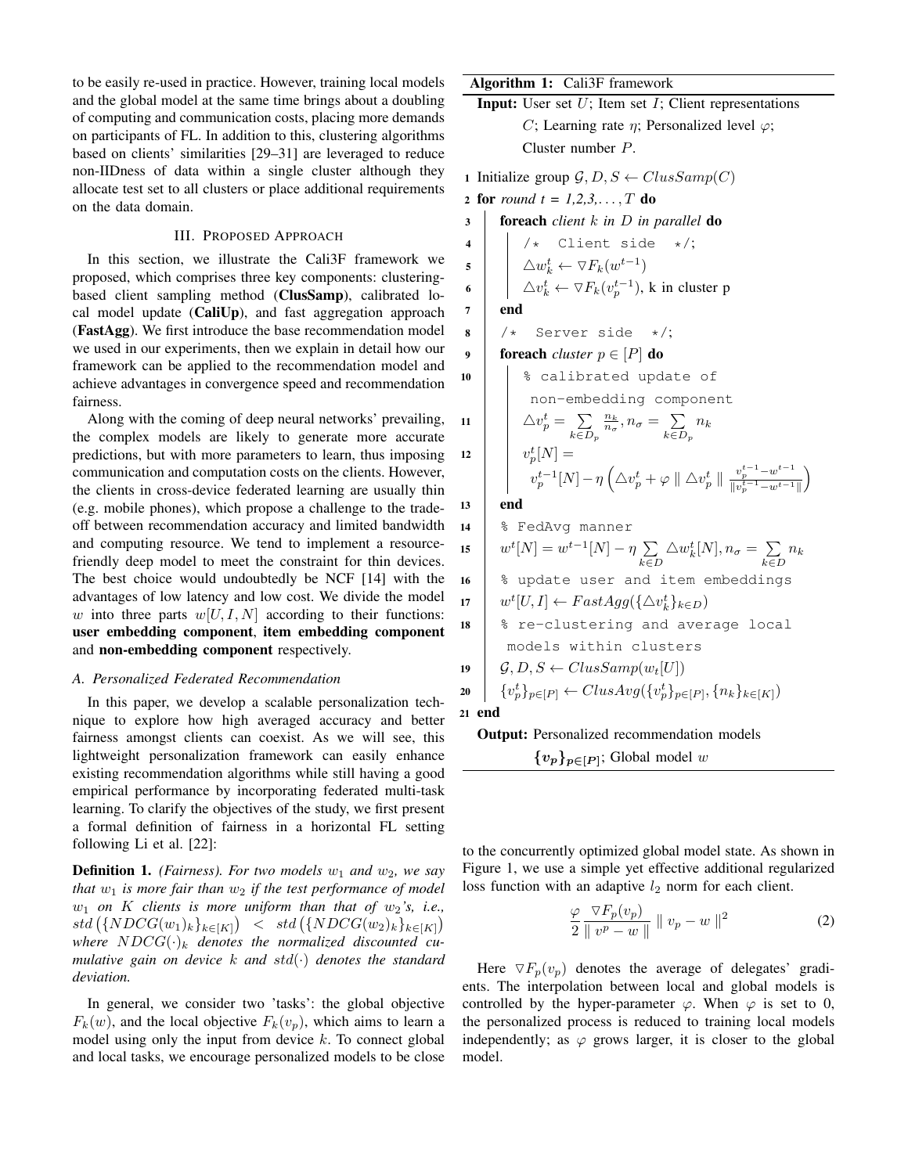to be easily re-used in practice. However, training local models and the global model at the same time brings about a doubling of computing and communication costs, placing more demands on participants of FL. In addition to this, clustering algorithms based on clients' similarities [\[29–](#page-7-27)[31\]](#page-7-28) are leveraged to reduce non-IIDness of data within a single cluster although they allocate test set to all clusters or place additional requirements on the data domain.

# III. PROPOSED APPROACH

In this section, we illustrate the Cali3F framework we proposed, which comprises three key components: clusteringbased client sampling method (ClusSamp), calibrated local model update (CaliUp), and fast aggregation approach (FastAgg). We first introduce the base recommendation model we used in our experiments, then we explain in detail how our framework can be applied to the recommendation model and achieve advantages in convergence speed and recommendation fairness.

Along with the coming of deep neural networks' prevailing, the complex models are likely to generate more accurate predictions, but with more parameters to learn, thus imposing communication and computation costs on the clients. However, the clients in cross-device federated learning are usually thin (e.g. mobile phones), which propose a challenge to the tradeoff between recommendation accuracy and limited bandwidth and computing resource. We tend to implement a resourcefriendly deep model to meet the constraint for thin devices. The best choice would undoubtedly be NCF [\[14\]](#page-7-11) with the advantages of low latency and low cost. We divide the model w into three parts  $w[U, I, N]$  according to their functions: user embedding component, item embedding component and non-embedding component respectively.

## *A. Personalized Federated Recommendation*

In this paper, we develop a scalable personalization technique to explore how high averaged accuracy and better fairness amongst clients can coexist. As we will see, this lightweight personalization framework can easily enhance existing recommendation algorithms while still having a good empirical performance by incorporating federated multi-task learning. To clarify the objectives of the study, we first present a formal definition of fairness in a horizontal FL setting following Li et al. [\[22\]](#page-7-20):

<span id="page-2-0"></span>**Definition 1.** *(Fairness). For two models*  $w_1$  *and*  $w_2$ *, we say that*  $w_1$  *is more fair than*  $w_2$  *if the test performance of model*  $w_1$  *on* K *clients is more uniform than that of*  $w_2$ 's, i.e.,  $std(\{NDCG(w_1)_k\}_{k\in [K]}) \leq std(\{NDCG(w_2)_k\}_{k\in [K]})$ where  $NDCG(\cdot)_k$  denotes the normalized discounted cu*mulative gain on device* k *and* std(·) *denotes the standard deviation.*

In general, we consider two 'tasks': the global objective  $F_k(w)$ , and the local objective  $F_k(v_n)$ , which aims to learn a model using only the input from device  $k$ . To connect global and local tasks, we encourage personalized models to be close

# Algorithm 1: Cali3F framework

**Input:** User set  $U$ ; Item set  $I$ ; Client representations C; Learning rate  $\eta$ ; Personalized level  $\varphi$ ; Cluster number P.

1 Initialize group  $\mathcal{G}, D, S \leftarrow ClusSamp(C)$ 2 for *round*  $t = 1, 2, 3, \ldots, T$  do <sup>3</sup> foreach *client* k *in* D *in parallel* do  $4$  |  $\frac{1}{\ast}$  Client side  $\ast$ /;  $\mathsf{s} \quad | \quad \big\downarrow \; \Delta w_k^t \leftarrow \triangledown F_k(w^{t-1})$ 6  $\big|$   $\Delta v_k^t \leftarrow \triangledown F_k(v_p^{t-1}),$  k in cluster p  $7$  end  $8$  /\* Server side \*/; 9 **foreach** *cluster*  $p \in [P]$  **do** 10 | | % calibrated update of non-embedding component 11  $\Delta v_p^t = \sum$  $k \in D_p$  $\frac{n_k}{n_\sigma}, n_\sigma = \sum_{n=0}$  $k \in D_p$  $n_k$ 12  $v_p^t[N] =$  $v_p^{t-1}[N] - \eta \left( \triangle v_p^t + \varphi \parallel \triangle v_p^t \parallel \frac{v_p^{t-1} - w^{t-1}}{\parallel v_p^{t-1} - w^{t-1}} \right)$  $\overline{\|v_p^{t-1} - w^{t-1}\|}$ 13 end <sup>14</sup> % FedAvg manner 15  $w^{t}[N] = w^{t-1}[N] - \eta \sum$ k∈D  $\triangle w_k^t[N], n_\sigma = \sum$  $\sum_{k\in D} n_k$ 16 | % update user and item embeddings 17  $w^t[U, I] \leftarrow FastAgg(\{\triangle v_k^t\}_{k \in D})$ 18 | % re-clustering and average local models within clusters

$$
\begin{array}{c}\n\mathbf{19} \quad \begin{array}{c}\n\mathcal{G}, D, S \leftarrow ClusSamp(w_t[U]) \\
\text{20} \quad \{v_p^t\}_{p \in [P]} \leftarrow ClusAvg(\{v_p^t\}_{p \in [P]}, \{n_k\}_{k \in [K]})\n\end{array}\n\end{array}
$$

21 end

Output: Personalized recommendation models

 $\{v_p\}_{p\in[P]};$  Global model w

to the concurrently optimized global model state. As shown in Figure [1,](#page-4-0) we use a simple yet effective additional regularized loss function with an adaptive  $l_2$  norm for each client.

$$
\frac{\varphi}{2} \frac{\nabla F_p(v_p)}{\|v^p - w\|} \|v_p - w\|^2 \tag{2}
$$

 $\setminus$ 

Here  $\nabla F_p(v_p)$  denotes the average of delegates' gradients. The interpolation between local and global models is controlled by the hyper-parameter  $\varphi$ . When  $\varphi$  is set to 0, the personalized process is reduced to training local models independently; as  $\varphi$  grows larger, it is closer to the global model.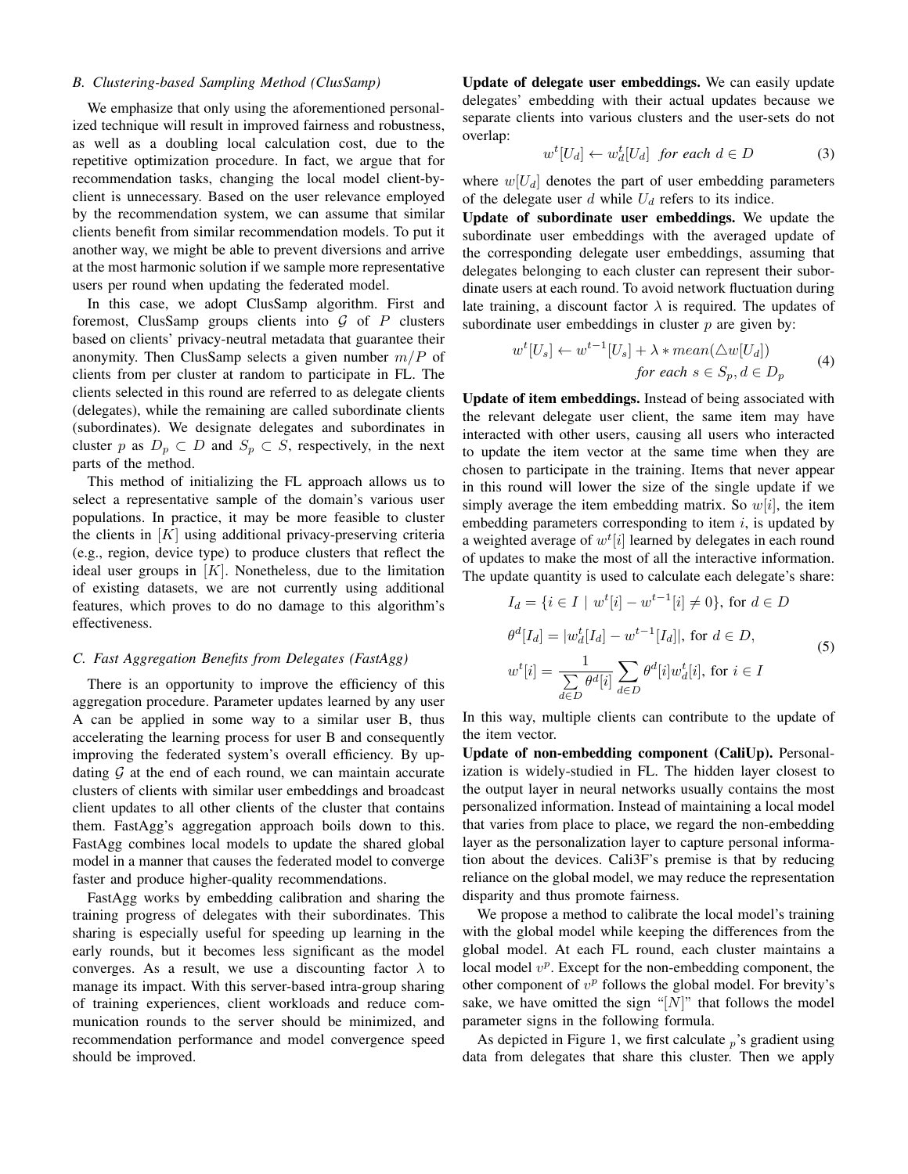# *B. Clustering-based Sampling Method (ClusSamp)*

We emphasize that only using the aforementioned personalized technique will result in improved fairness and robustness, as well as a doubling local calculation cost, due to the repetitive optimization procedure. In fact, we argue that for recommendation tasks, changing the local model client-byclient is unnecessary. Based on the user relevance employed by the recommendation system, we can assume that similar clients benefit from similar recommendation models. To put it another way, we might be able to prevent diversions and arrive at the most harmonic solution if we sample more representative users per round when updating the federated model.

In this case, we adopt ClusSamp algorithm. First and foremost, ClusSamp groups clients into  $G$  of  $P$  clusters based on clients' privacy-neutral metadata that guarantee their anonymity. Then ClusSamp selects a given number  $m/P$  of clients from per cluster at random to participate in FL. The clients selected in this round are referred to as delegate clients (delegates), while the remaining are called subordinate clients (subordinates). We designate delegates and subordinates in cluster p as  $D_p \subset D$  and  $S_p \subset S$ , respectively, in the next parts of the method.

This method of initializing the FL approach allows us to select a representative sample of the domain's various user populations. In practice, it may be more feasible to cluster the clients in  $[K]$  using additional privacy-preserving criteria (e.g., region, device type) to produce clusters that reflect the ideal user groups in  $[K]$ . Nonetheless, due to the limitation of existing datasets, we are not currently using additional features, which proves to do no damage to this algorithm's effectiveness.

# <span id="page-3-0"></span>*C. Fast Aggregation Benefits from Delegates (FastAgg)*

There is an opportunity to improve the efficiency of this aggregation procedure. Parameter updates learned by any user A can be applied in some way to a similar user B, thus accelerating the learning process for user B and consequently improving the federated system's overall efficiency. By updating  $G$  at the end of each round, we can maintain accurate clusters of clients with similar user embeddings and broadcast client updates to all other clients of the cluster that contains them. FastAgg's aggregation approach boils down to this. FastAgg combines local models to update the shared global model in a manner that causes the federated model to converge faster and produce higher-quality recommendations.

FastAgg works by embedding calibration and sharing the training progress of delegates with their subordinates. This sharing is especially useful for speeding up learning in the early rounds, but it becomes less significant as the model converges. As a result, we use a discounting factor  $\lambda$  to manage its impact. With this server-based intra-group sharing of training experiences, client workloads and reduce communication rounds to the server should be minimized, and recommendation performance and model convergence speed should be improved.

Update of delegate user embeddings. We can easily update delegates' embedding with their actual updates because we separate clients into various clusters and the user-sets do not overlap:

$$
w^{t}[U_{d}] \leftarrow w_{d}^{t}[U_{d}] \text{ for each } d \in D \tag{3}
$$

where  $w[U_d]$  denotes the part of user embedding parameters of the delegate user d while  $U_d$  refers to its indice.

Update of subordinate user embeddings. We update the subordinate user embeddings with the averaged update of the corresponding delegate user embeddings, assuming that delegates belonging to each cluster can represent their subordinate users at each round. To avoid network fluctuation during late training, a discount factor  $\lambda$  is required. The updates of subordinate user embeddings in cluster  $p$  are given by:

$$
w^{t}[U_{s}] \leftarrow w^{t-1}[U_{s}] + \lambda * mean(\triangle w[U_{d}])
$$
  
for each  $s \in S_{p}, d \in D_{p}$  (4)

Update of item embeddings. Instead of being associated with the relevant delegate user client, the same item may have interacted with other users, causing all users who interacted to update the item vector at the same time when they are chosen to participate in the training. Items that never appear in this round will lower the size of the single update if we simply average the item embedding matrix. So  $w[i]$ , the item embedding parameters corresponding to item  $i$ , is updated by a weighted average of  $w^{t}[i]$  learned by delegates in each round of updates to make the most of all the interactive information. The update quantity is used to calculate each delegate's share:

$$
I_d = \{ i \in I \mid w^t[i] - w^{t-1}[i] \neq 0 \}, \text{ for } d \in D
$$
  
\n
$$
\theta^d[I_d] = |w_d^t[I_d] - w^{t-1}[I_d]|, \text{ for } d \in D,
$$
  
\n
$$
w^t[i] = \frac{1}{\sum_{d \in D} \theta^d[i]} \sum_{d \in D} \theta^d[i] w_d^t[i], \text{ for } i \in I
$$
\n(5)

In this way, multiple clients can contribute to the update of the item vector.

Update of non-embedding component (CaliUp). Personalization is widely-studied in FL. The hidden layer closest to the output layer in neural networks usually contains the most personalized information. Instead of maintaining a local model that varies from place to place, we regard the non-embedding layer as the personalization layer to capture personal information about the devices. Cali3F's premise is that by reducing reliance on the global model, we may reduce the representation disparity and thus promote fairness.

We propose a method to calibrate the local model's training with the global model while keeping the differences from the global model. At each FL round, each cluster maintains a local model  $v^p$ . Except for the non-embedding component, the other component of  $v^p$  follows the global model. For brevity's sake, we have omitted the sign "[ $N$ ]" that follows the model parameter signs in the following formula.

As depicted in Figure [1,](#page-4-0) we first calculate  $_p$ 's gradient using data from delegates that share this cluster. Then we apply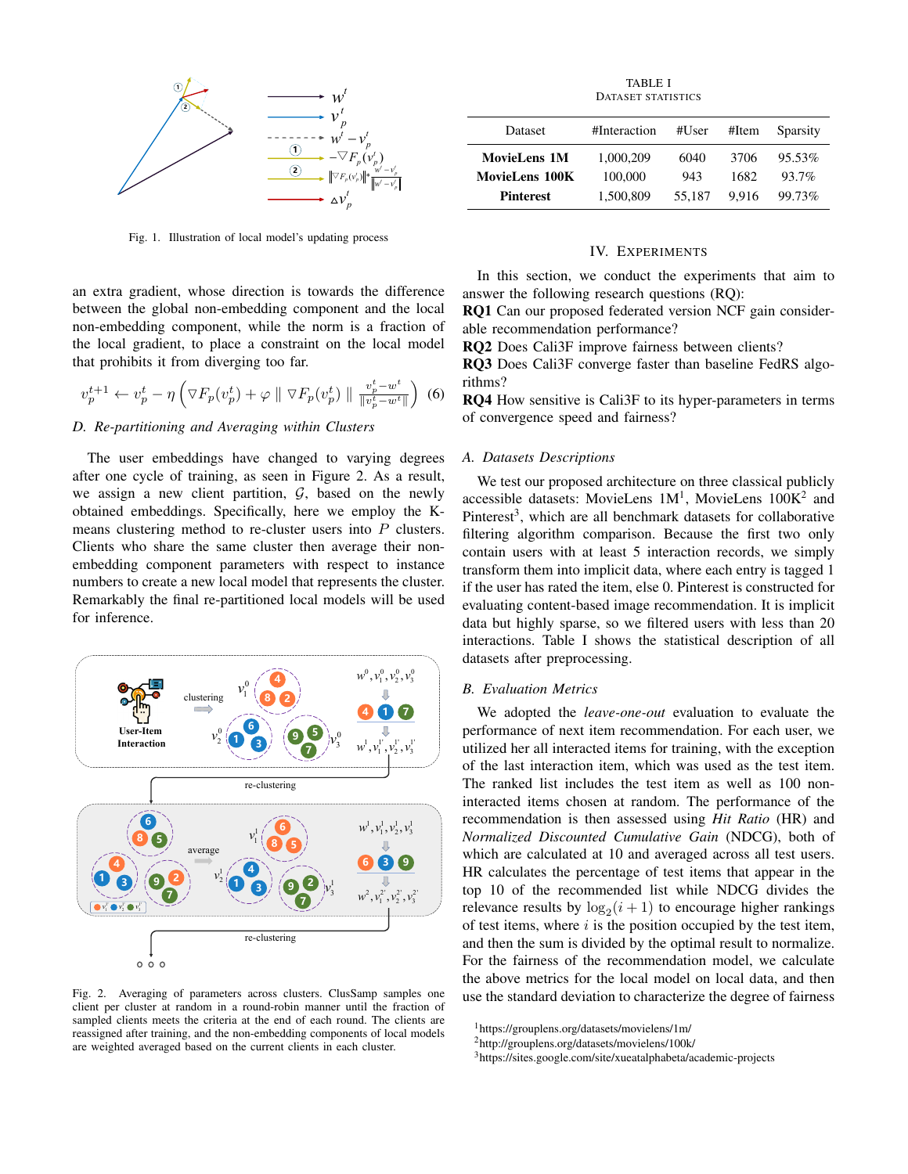

<span id="page-4-0"></span>Fig. 1. Illustration of local model's updating process

an extra gradient, whose direction is towards the difference between the global non-embedding component and the local non-embedding component, while the norm is a fraction of the local gradient, to place a constraint on the local model that prohibits it from diverging too far.

$$
v_p^{t+1} \leftarrow v_p^t - \eta \left( \nabla F_p(v_p^t) + \varphi \parallel \nabla F_p(v_p^t) \parallel \frac{v_p^t - w^t}{\|v_p^t - w^t\|} \right) \tag{6}
$$

# *D. Re-partitioning and Averaging within Clusters*

The user embeddings have changed to varying degrees after one cycle of training, as seen in Figure [2.](#page-4-1) As a result, we assign a new client partition,  $G$ , based on the newly obtained embeddings. Specifically, here we employ the Kmeans clustering method to re-cluster users into P clusters. Clients who share the same cluster then average their nonembedding component parameters with respect to instance numbers to create a new local model that represents the cluster. Remarkably the final re-partitioned local models will be used for inference.



<span id="page-4-1"></span>Fig. 2. Averaging of parameters across clusters. ClusSamp samples one client per cluster at random in a round-robin manner until the fraction of sampled clients meets the criteria at the end of each round. The clients are reassigned after training, and the non-embedding components of local models are weighted averaged based on the current clients in each cluster.

TABLE I DATASET STATISTICS

<span id="page-4-5"></span>

| Dataset               | #Interaction | #User  | #Item | Sparsity |
|-----------------------|--------------|--------|-------|----------|
| <b>MovieLens 1M</b>   | 1.000.209    | 6040   | 3706  | 95.53%   |
| <b>MovieLens 100K</b> | 100,000      | 943    | 1682  | 93.7%    |
| <b>Pinterest</b>      | 1.500.809    | 55.187 | 9.916 | 99.73%   |

### IV. EXPERIMENTS

In this section, we conduct the experiments that aim to answer the following research questions (RQ):

RQ1 Can our proposed federated version NCF gain considerable recommendation performance?

RQ2 Does Cali3F improve fairness between clients?

RQ3 Does Cali3F converge faster than baseline FedRS algorithms?

RQ4 How sensitive is Cali3F to its hyper-parameters in terms of convergence speed and fairness?

# *A. Datasets Descriptions*

We test our proposed architecture on three classical publicly accessible datasets: MovieLens  $1M<sup>1</sup>$  $1M<sup>1</sup>$ , MovieLens  $100K<sup>2</sup>$  $100K<sup>2</sup>$  $100K<sup>2</sup>$  and Pinterest<sup>[3](#page-4-4)</sup>, which are all benchmark datasets for collaborative filtering algorithm comparison. Because the first two only contain users with at least 5 interaction records, we simply transform them into implicit data, where each entry is tagged 1 if the user has rated the item, else 0. Pinterest is constructed for evaluating content-based image recommendation. It is implicit data but highly sparse, so we filtered users with less than 20 interactions. Table [I](#page-4-5) shows the statistical description of all datasets after preprocessing.

#### *B. Evaluation Metrics*

We adopted the *leave-one-out* evaluation to evaluate the performance of next item recommendation. For each user, we utilized her all interacted items for training, with the exception of the last interaction item, which was used as the test item. The ranked list includes the test item as well as 100 noninteracted items chosen at random. The performance of the recommendation is then assessed using *Hit Ratio* (HR) and *Normalized Discounted Cumulative Gain* (NDCG), both of which are calculated at 10 and averaged across all test users. HR calculates the percentage of test items that appear in the top 10 of the recommended list while NDCG divides the relevance results by  $\log_2(i+1)$  to encourage higher rankings of test items, where  $i$  is the position occupied by the test item, and then the sum is divided by the optimal result to normalize. For the fairness of the recommendation model, we calculate the above metrics for the local model on local data, and then use the standard deviation to characterize the degree of fairness

<span id="page-4-2"></span><sup>1</sup>https://grouplens.org/datasets/movielens/1m/

<span id="page-4-3"></span><sup>2</sup>http://grouplens.org/datasets/movielens/100k/

<span id="page-4-4"></span><sup>3</sup>https://sites.google.com/site/xueatalphabeta/academic-projects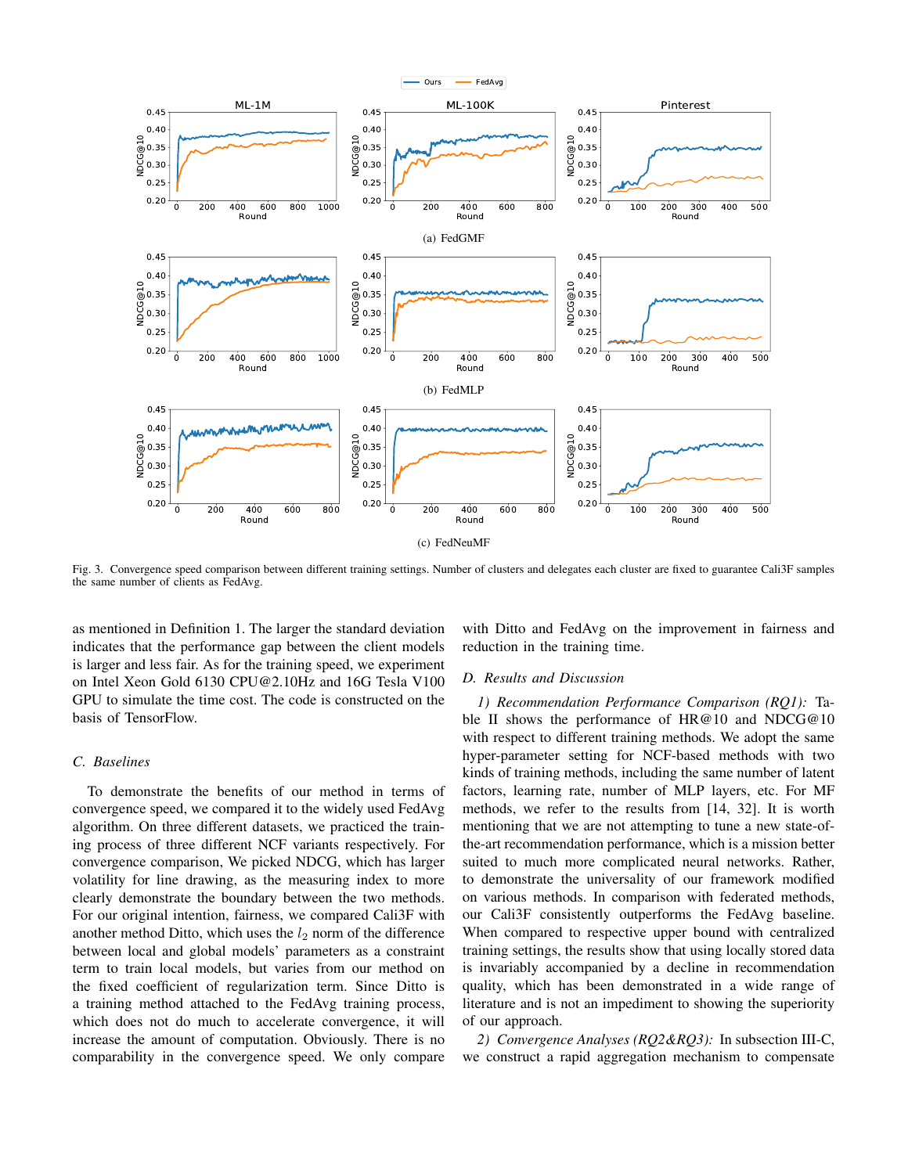

<span id="page-5-0"></span>Fig. 3. Convergence speed comparison between different training settings. Number of clusters and delegates each cluster are fixed to guarantee Cali3F samples the same number of clients as FedAvg.

as mentioned in Definition [1.](#page-2-0) The larger the standard deviation indicates that the performance gap between the client models is larger and less fair. As for the training speed, we experiment on Intel Xeon Gold 6130 CPU@2.10Hz and 16G Tesla V100 GPU to simulate the time cost. The code is constructed on the basis of TensorFlow.

# *C. Baselines*

To demonstrate the benefits of our method in terms of convergence speed, we compared it to the widely used FedAvg algorithm. On three different datasets, we practiced the training process of three different NCF variants respectively. For convergence comparison, We picked NDCG, which has larger volatility for line drawing, as the measuring index to more clearly demonstrate the boundary between the two methods. For our original intention, fairness, we compared Cali3F with another method Ditto, which uses the  $l_2$  norm of the difference between local and global models' parameters as a constraint term to train local models, but varies from our method on the fixed coefficient of regularization term. Since Ditto is a training method attached to the FedAvg training process, which does not do much to accelerate convergence, it will increase the amount of computation. Obviously. There is no comparability in the convergence speed. We only compare

with Ditto and FedAvg on the improvement in fairness and reduction in the training time.

# *D. Results and Discussion*

*1) Recommendation Performance Comparison (RQ1):* Ta-ble [II](#page-6-0) shows the performance of HR@10 and NDCG@10 with respect to different training methods. We adopt the same hyper-parameter setting for NCF-based methods with two kinds of training methods, including the same number of latent factors, learning rate, number of MLP layers, etc. For MF methods, we refer to the results from [\[14,](#page-7-11) [32\]](#page-7-29). It is worth mentioning that we are not attempting to tune a new state-ofthe-art recommendation performance, which is a mission better suited to much more complicated neural networks. Rather, to demonstrate the universality of our framework modified on various methods. In comparison with federated methods, our Cali3F consistently outperforms the FedAvg baseline. When compared to respective upper bound with centralized training settings, the results show that using locally stored data is invariably accompanied by a decline in recommendation quality, which has been demonstrated in a wide range of literature and is not an impediment to showing the superiority of our approach.

*2) Convergence Analyses (RQ2&RQ3):* In subsection [III-C,](#page-3-0) we construct a rapid aggregation mechanism to compensate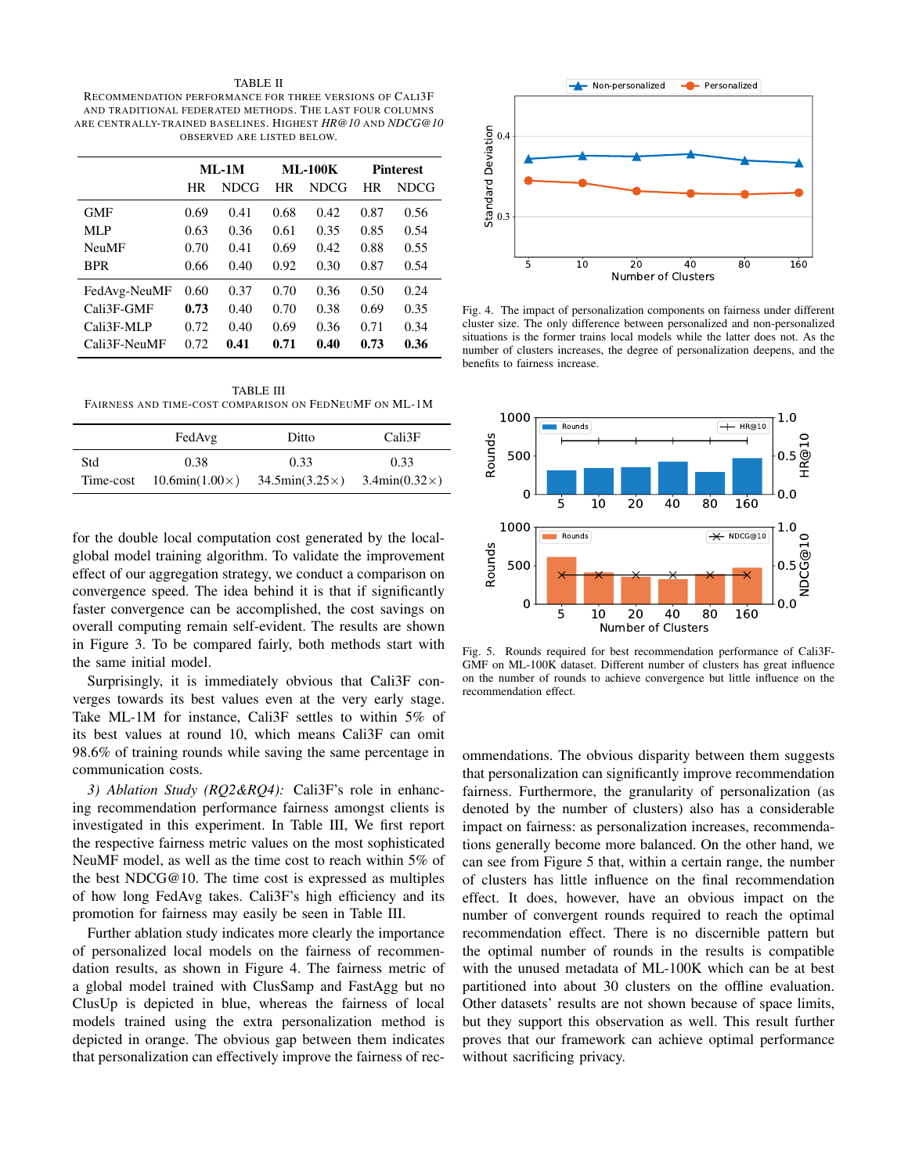#### TABLE II

<span id="page-6-0"></span>RECOMMENDATION PERFORMANCE FOR THREE VERSIONS OF CALI3F AND TRADITIONAL FEDERATED METHODS. THE LAST FOUR COLUMNS ARE CENTRALLY-TRAINED BASELINES. HIGHEST *HR@10* AND *NDCG@10* OBSERVED ARE LISTED BELOW.

|              | $ML-1M$ |      | <b>ML-100K</b> |      | <b>Pinterest</b> |      |
|--------------|---------|------|----------------|------|------------------|------|
|              | HR      | NDCG | HR             | NDCG | HR               | NDCG |
| <b>GMF</b>   | 0.69    | 0.41 | 0.68           | 0.42 | 0.87             | 0.56 |
| MLP          | 0.63    | 0.36 | 0.61           | 0.35 | 0.85             | 0.54 |
| <b>NeuMF</b> | 0.70    | 0.41 | 0.69           | 0.42 | 0.88             | 0.55 |
| <b>BPR</b>   | 0.66    | 0.40 | 0.92           | 0.30 | 0.87             | 0.54 |
| FedAvg-NeuMF | 0.60    | 0.37 | 0.70           | 0.36 | 0.50             | 0.24 |
| Cali3F-GMF   | 0.73    | 0.40 | 0.70           | 0.38 | 0.69             | 0.35 |
| Cali3F-MLP   | 0.72    | 0.40 | 0.69           | 0.36 | 0.71             | 0.34 |
| Cali3F-NeuMF | 0.72    | 0.41 | 0.71           | 0.40 | 0.73             | 0.36 |

<span id="page-6-1"></span>TABLE III FAIRNESS AND TIME-COST COMPARISON ON FEDNEUMF ON ML-1M

|           | FedAvg                       | Ditto                        | Cali3F                      |
|-----------|------------------------------|------------------------------|-----------------------------|
| Std       | 0.38                         | 0.33                         | 0.33                        |
| Time-cost | $10.6\text{min}(1.00\times)$ | $34.5\text{min}(3.25\times)$ | $3.4\text{min}(0.32\times)$ |

for the double local computation cost generated by the localglobal model training algorithm. To validate the improvement effect of our aggregation strategy, we conduct a comparison on convergence speed. The idea behind it is that if significantly faster convergence can be accomplished, the cost savings on overall computing remain self-evident. The results are shown in Figure [3.](#page-5-0) To be compared fairly, both methods start with the same initial model.

Surprisingly, it is immediately obvious that Cali3F converges towards its best values even at the very early stage. Take ML-1M for instance, Cali3F settles to within 5% of its best values at round 10, which means Cali3F can omit 98.6% of training rounds while saving the same percentage in communication costs.

*3) Ablation Study (RQ2&RQ4):* Cali3F's role in enhancing recommendation performance fairness amongst clients is investigated in this experiment. In Table [III,](#page-6-1) We first report the respective fairness metric values on the most sophisticated NeuMF model, as well as the time cost to reach within 5% of the best NDCG@10. The time cost is expressed as multiples of how long FedAvg takes. Cali3F's high efficiency and its promotion for fairness may easily be seen in Table [III.](#page-6-1)

Further ablation study indicates more clearly the importance of personalized local models on the fairness of recommendation results, as shown in Figure [4.](#page-6-2) The fairness metric of a global model trained with ClusSamp and FastAgg but no ClusUp is depicted in blue, whereas the fairness of local models trained using the extra personalization method is depicted in orange. The obvious gap between them indicates that personalization can effectively improve the fairness of rec-



<span id="page-6-2"></span>Fig. 4. The impact of personalization components on fairness under different cluster size. The only difference between personalized and non-personalized situations is the former trains local models while the latter does not. As the number of clusters increases, the degree of personalization deepens, and the benefits to fairness increase.



Fig. 5. Rounds required for best recommendation performance of Cali3F-GMF on ML-100K dataset. Different number of clusters has great influence on the number of rounds to achieve convergence but little influence on the recommendation effect.

ommendations. The obvious disparity between them suggests that personalization can significantly improve recommendation fairness. Furthermore, the granularity of personalization (as denoted by the number of clusters) also has a considerable impact on fairness: as personalization increases, recommendations generally become more balanced. On the other hand, we can see from Figure 5 that, within a certain range, the number of clusters has little influence on the final recommendation effect. It does, however, have an obvious impact on the number of convergent rounds required to reach the optimal recommendation effect. There is no discernible pattern but the optimal number of rounds in the results is compatible with the unused metadata of ML-100K which can be at best partitioned into about 30 clusters on the offline evaluation. Other datasets' results are not shown because of space limits, but they support this observation as well. This result further proves that our framework can achieve optimal performance without sacrificing privacy.